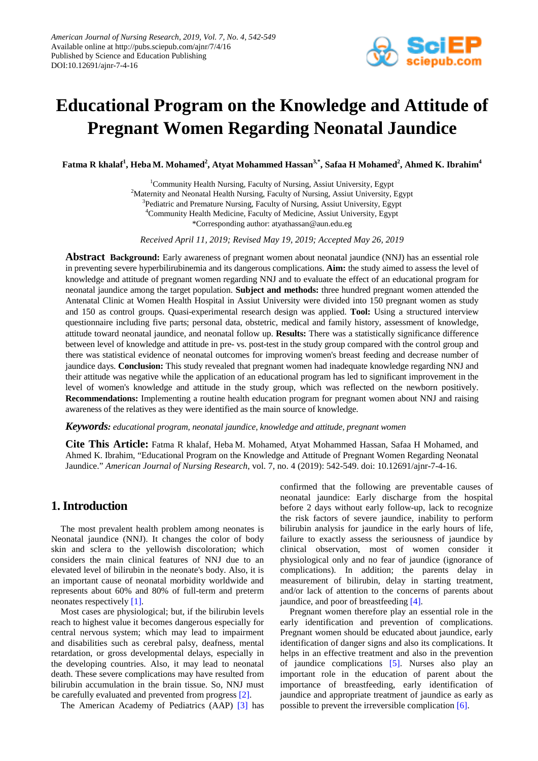

# **Educational Program on the Knowledge and Attitude of Pregnant Women Regarding Neonatal Jaundice**

 $\mathbf{Fatma\ R\ khalaf}^{1}, \mathbf{Heba\ M.}\ \mathbf{Mohamed}^{2}, \mathbf{Atyat\ Mohammed\ Hassan}^{3,*}, \mathbf{Safaa\ H\ Mohamed}^{2}, \mathbf{Ahmed\ K.}\ \mathbf{Ibrahim}^{4}$ 

<sup>1</sup>Community Health Nursing, Faculty of Nursing, Assiut University, Egypt <sup>2</sup>Maternity and Neonatal Health Nursing, Faculty of Nursing, Assiut University, Egypt <sup>3</sup>Pediatric and Premature Nursing, Faculty of Nursing, Assiut University, Egypt 4 Community Health Medicine, Faculty of Medicine, Assiut University, Egypt \*Corresponding author: atyathassan@aun.edu.eg

*Received April 11, 2019; Revised May 19, 2019; Accepted May 26, 2019*

**Abstract Background:** Early awareness of pregnant women about neonatal jaundice (NNJ) has an essential role in preventing severe hyperbilirubinemia and its dangerous complications. **Aim:** the study aimed to assess the level of knowledge and attitude of pregnant women regarding NNJ and to evaluate the effect of an educational program for neonatal jaundice among the target population. **Subject and methods:** three hundred pregnant women attended the Antenatal Clinic at Women Health Hospital in Assiut University were divided into 150 pregnant women as study and 150 as control groups. Quasi-experimental research design was applied. **Tool:** Using a structured interview questionnaire including five parts; personal data, obstetric, medical and family history, assessment of knowledge, attitude toward neonatal jaundice, and neonatal follow up. **Results:** There was a statistically significance difference between level of knowledge and attitude in pre- vs. post-test in the study group compared with the control group and there was statistical evidence of neonatal outcomes for improving women's breast feeding and decrease number of jaundice days. **Conclusion:** This study revealed that pregnant women had inadequate knowledge regarding NNJ and their attitude was negative while the application of an educational program has led to significant improvement in the level of women's knowledge and attitude in the study group, which was reflected on the newborn positively. **Recommendations:** Implementing a routine health education program for pregnant women about NNJ and raising awareness of the relatives as they were identified as the main source of knowledge.

*Keywords: educational program, neonatal jaundice, knowledge and attitude, pregnant women*

**Cite This Article:** Fatma R khalaf, Heba M. Mohamed, Atyat Mohammed Hassan, Safaa H Mohamed, and Ahmed K. Ibrahim, "Educational Program on the Knowledge and Attitude of Pregnant Women Regarding Neonatal Jaundice." *American Journal of Nursing Research*, vol. 7, no. 4 (2019): 542-549. doi: 10.12691/ajnr-7-4-16.

# **1. Introduction**

The most prevalent health problem among neonates is Neonatal jaundice (NNJ). It changes the color of body skin and sclera to the yellowish discoloration; which considers the main clinical features of NNJ due to an elevated level of bilirubin in the neonate's body. Also, it is an important cause of neonatal morbidity worldwide and represents about 60% and 80% of full-term and preterm neonates respectively [\[1\].](#page-6-0)

Most cases are physiological; but, if the bilirubin levels reach to highest value it becomes dangerous especially for central nervous system; which may lead to impairment and disabilities such as cerebral palsy, deafness, mental retardation, or gross developmental delays, especially in the developing countries. Also, it may lead to neonatal death. These severe complications may have resulted from bilirubin accumulation in the brain tissue. So, NNJ must be carefully evaluated and prevented from progres[s \[2\].](#page-6-1)

The American Academy of Pediatrics (AAP) [\[3\]](#page-7-0) has

confirmed that the following are preventable causes of neonatal jaundice: Early discharge from the hospital before 2 days without early follow-up, lack to recognize the risk factors of severe jaundice, inability to perform bilirubin analysis for jaundice in the early hours of life, failure to exactly assess the seriousness of jaundice by clinical observation, most of women consider it physiological only and no fear of jaundice (ignorance of complications). In addition; the parents delay in measurement of bilirubin, delay in starting treatment, and/or lack of attention to the concerns of parents about jaundice, and poor of breastfeeding [\[4\].](#page-7-1)

Pregnant women therefore play an essential role in the early identification and prevention of complications. Pregnant women should be educated about jaundice, early identification of danger signs and also its complications. It helps in an effective treatment and also in the prevention of jaundice complications [\[5\].](#page-7-2) Nurses also play an important role in the education of parent about the importance of breastfeeding, early identification of jaundice and appropriate treatment of jaundice as early as possible to prevent the irreversible complicatio[n \[6\].](#page-7-3)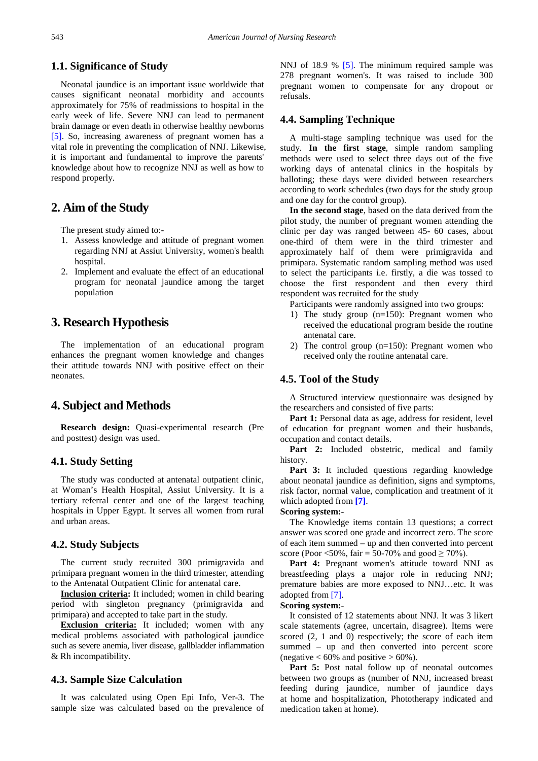## **1.1. Significance of Study**

Neonatal jaundice is an important issue worldwide that causes significant neonatal morbidity and accounts approximately for 75% of readmissions to hospital in the early week of life. Severe NNJ can lead to permanent brain damage or even death in otherwise healthy newborns [\[5\].](#page-7-2) So, increasing awareness of pregnant women has a vital role in preventing the complication of NNJ. Likewise, it is important and fundamental to improve the parents' knowledge about how to recognize NNJ as well as how to respond properly.

# **2. Aim of the Study**

The present study aimed to:-

- 1. Assess knowledge and attitude of pregnant women regarding NNJ at Assiut University, women's health hospital.
- 2. Implement and evaluate the effect of an educational program for neonatal jaundice among the target population

# **3. Research Hypothesis**

The implementation of an educational program enhances the pregnant women knowledge and changes their attitude towards NNJ with positive effect on their neonates.

## **4. Subject and Methods**

**Research design:** Quasi-experimental research (Pre and posttest) design was used.

## **4.1. Study Setting**

The study was conducted at antenatal outpatient clinic, at Woman's Health Hospital, Assiut University. It is a tertiary referral center and one of the largest teaching hospitals in Upper Egypt. It serves all women from rural and urban areas.

#### **4.2. Study Subjects**

The current study recruited 300 primigravida and primipara pregnant women in the third trimester, attending to the Antenatal Outpatient Clinic for antenatal care.

**Inclusion criteria:** It included; women in child bearing period with singleton pregnancy (primigravida and primipara) and accepted to take part in the study.

**Exclusion criteria:** It included; women with any medical problems associated with pathological jaundice such as severe anemia, liver disease, gallbladder inflammation & Rh incompatibility.

## **4.3. Sample Size Calculation**

It was calculated using Open Epi Info, Ver-3. The sample size was calculated based on the prevalence of NNJ of 18.9 % [\[5\].](#page-7-2) The minimum required sample was 278 pregnant women's. It was raised to include 300 pregnant women to compensate for any dropout or refusals.

## **4.4. Sampling Technique**

A multi-stage sampling technique was used for the study. **In the first stage**, simple random sampling methods were used to select three days out of the five working days of antenatal clinics in the hospitals by balloting; these days were divided between researchers according to work schedules (two days for the study group and one day for the control group).

**In the second stage**, based on the data derived from the pilot study, the number of pregnant women attending the clinic per day was ranged between 45- 60 cases, about one-third of them were in the third trimester and approximately half of them were primigravida and primipara. Systematic random sampling method was used to select the participants i.e. firstly, a die was tossed to choose the first respondent and then every third respondent was recruited for the study

Participants were randomly assigned into two groups:

- 1) The study group (n=150): Pregnant women who received the educational program beside the routine antenatal care.
- 2) The control group (n=150): Pregnant women who received only the routine antenatal care.

#### **4.5. Tool of the Study**

A Structured interview questionnaire was designed by the researchers and consisted of five parts:

Part 1: Personal data as age, address for resident, level of education for pregnant women and their husbands, occupation and contact details.

Part 2: Included obstetric, medical and family history.

Part 3: It included questions regarding knowledge about neonatal jaundice as definition, signs and symptoms, risk factor, normal value, complication and treatment of it which adopted from **[\[7\]](#page-7-4)**.

#### **Scoring system:-**

The Knowledge items contain 13 questions; a correct answer was scored one grade and incorrect zero. The score of each item summed – up and then converted into percent score (Poor <50%, fair = 50-70% and good  $\geq$  70%).

Part 4: Pregnant women's attitude toward NNJ as breastfeeding plays a major role in reducing NNJ; premature babies are more exposed to NNJ…etc. It was adopted from [\[7\].](#page-7-4)

#### **Scoring system:-**

It consisted of 12 statements about NNJ. It was 3 likert scale statements (agree, uncertain, disagree). Items were scored (2, 1 and 0) respectively; the score of each item summed – up and then converted into percent score (negative  $< 60\%$  and positive  $> 60\%$ ).

Part 5: Post natal follow up of neonatal outcomes between two groups as (number of NNJ, increased breast feeding during jaundice, number of jaundice days at home and hospitalization, Phototherapy indicated and medication taken at home).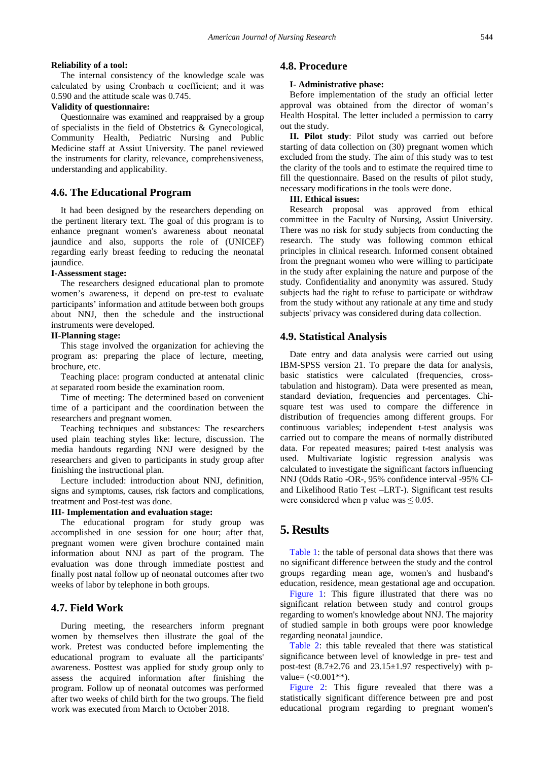#### **Reliability of a tool:**

The internal consistency of the knowledge scale was calculated by using Cronbach  $\alpha$  coefficient; and it was 0.590 and the attitude scale was 0.745.

#### **Validity of questionnaire:**

Questionnaire was examined and reappraised by a group of specialists in the field of Obstetrics & Gynecological, Community Health, Pediatric Nursing and Public Medicine staff at Assiut University. The panel reviewed the instruments for clarity, relevance, comprehensiveness, understanding and applicability.

## **4.6. The Educational Program**

It had been designed by the researchers depending on the pertinent literary text. The goal of this program is to enhance pregnant women's awareness about neonatal jaundice and also, supports the role of (UNICEF) regarding early breast feeding to reducing the neonatal jaundice.

## **I-Assessment stage:**

The researchers designed educational plan to promote women's awareness, it depend on pre-test to evaluate participants' information and attitude between both groups about NNJ, then the schedule and the instructional instruments were developed.

#### **II-Planning stage:**

This stage involved the organization for achieving the program as: preparing the place of lecture, meeting, brochure, etc.

Teaching place: program conducted at antenatal clinic at separated room beside the examination room.

Time of meeting: The determined based on convenient time of a participant and the coordination between the researchers and pregnant women.

Teaching techniques and substances: The researchers used plain teaching styles like: lecture, discussion. The media handouts regarding NNJ were designed by the researchers and given to participants in study group after finishing the instructional plan.

Lecture included: introduction about NNJ, definition, signs and symptoms, causes, risk factors and complications, treatment and Post-test was done.

### **III- Implementation and evaluation stage:**

The educational program for study group was accomplished in one session for one hour; after that, pregnant women were given brochure contained main information about NNJ as part of the program. The evaluation was done through immediate posttest and finally post natal follow up of neonatal outcomes after two weeks of labor by telephone in both groups.

## **4.7. Field Work**

During meeting, the researchers inform pregnant women by themselves then illustrate the goal of the work. Pretest was conducted before implementing the educational program to evaluate all the participants' awareness. Posttest was applied for study group only to assess the acquired information after finishing the program. Follow up of neonatal outcomes was performed after two weeks of child birth for the two groups. The field work was executed from March to October 2018.

## **4.8. Procedure**

#### **I- Administrative phase:**

Before implementation of the study an official letter approval was obtained from the director of woman's Health Hospital. The letter included a permission to carry out the study.

**II. Pilot study**: Pilot study was carried out before starting of data collection on (30) pregnant women which excluded from the study. The aim of this study was to test the clarity of the tools and to estimate the required time to fill the questionnaire. Based on the results of pilot study, necessary modifications in the tools were done.

#### **III. Ethical issues:**

Research proposal was approved from ethical committee in the Faculty of Nursing, Assiut University. There was no risk for study subjects from conducting the research. The study was following common ethical principles in clinical research. Informed consent obtained from the pregnant women who were willing to participate in the study after explaining the nature and purpose of the study. Confidentiality and anonymity was assured. Study subjects had the right to refuse to participate or withdraw from the study without any rationale at any time and study subjects' privacy was considered during data collection.

#### **4.9. Statistical Analysis**

Date entry and data analysis were carried out using IBM-SPSS version 21. To prepare the data for analysis, basic statistics were calculated (frequencies, crosstabulation and histogram). Data were presented as mean, standard deviation, frequencies and percentages. Chisquare test was used to compare the difference in distribution of frequencies among different groups. For continuous variables; independent t-test analysis was carried out to compare the means of normally distributed data. For repeated measures; paired t-test analysis was used. Multivariate logistic regression analysis was calculated to investigate the significant factors influencing NNJ (Odds Ratio -OR-, 95% confidence interval -95% CIand Likelihood Ratio Test –LRT-). Significant test results were considered when p value was  $\leq 0.05$ .

# **5. Results**

[Table 1:](#page-3-0) the table of personal data shows that there was no significant difference between the study and the control groups regarding mean age, women's and husband's education, residence, mean gestational age and occupation.

[Figure 1:](#page-3-1) This figure illustrated that there was no significant relation between study and control groups regarding to women's knowledge about NNJ. The majority of studied sample in both groups were poor knowledge regarding neonatal jaundice.

[Table 2:](#page-3-2) this table revealed that there was statistical significance between level of knowledge in pre- test and post-test  $(8.7\pm 2.76$  and  $23.15\pm 1.97$  respectively) with pvalue=  $(<0.001**)$ .

[Figure 2:](#page-4-0) This figure revealed that there was a statistically significant difference between pre and post educational program regarding to pregnant women's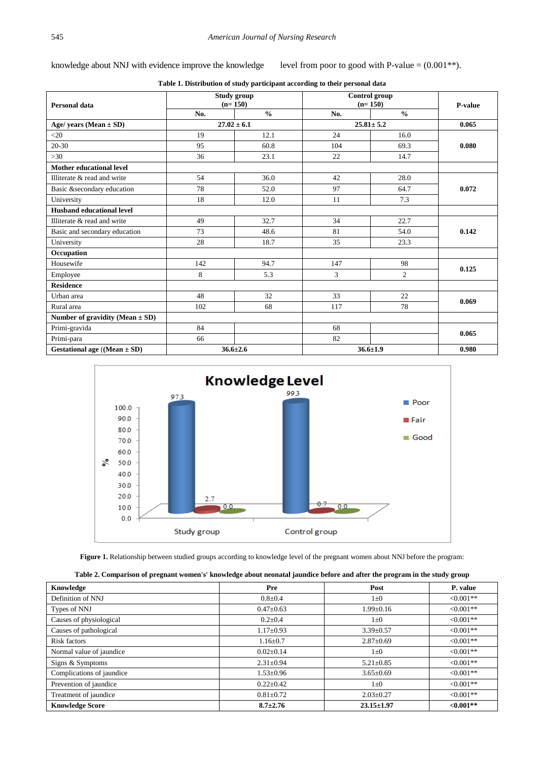knowledge about NNJ with evidence improve the knowledge level from poor to good with P-value =  $(0.001**)$ .

<span id="page-3-0"></span>

| Personal data                       | Study group<br>$(n=150)$ |                 | Control group<br>$(n=150)$ |                 | <b>P-value</b> |  |
|-------------------------------------|--------------------------|-----------------|----------------------------|-----------------|----------------|--|
|                                     | No.                      | $\frac{0}{0}$   | No.                        | $\frac{0}{0}$   |                |  |
| Age/ years (Mean $\pm$ SD)          |                          | $27.02 \pm 6.1$ |                            | $25.81 \pm 5.2$ | 0.065          |  |
| $<$ 20                              | 19                       | 12.1            | 24                         | 16.0            |                |  |
| $20 - 30$                           | 95                       | 60.8            | 104                        | 69.3            | 0.080          |  |
| >30                                 | 36                       | 23.1            | 22                         | 14.7            |                |  |
| Mother educational level            |                          |                 |                            |                 |                |  |
| Illiterate & read and write         | 54                       | 36.0            | 42                         | 28.0            |                |  |
| Basic & secondary education         | 78                       | 52.0            | 97                         | 64.7            | 0.072          |  |
| University                          | 18                       | 12.0            | 11                         | 7.3             |                |  |
| <b>Husband educational level</b>    |                          |                 |                            |                 |                |  |
| Illiterate & read and write         | 49                       | 32.7            | 34                         | 22.7            |                |  |
| Basic and secondary education       | 73                       | 48.6            | 81                         | 54.0            | 0.142          |  |
| University                          | 28                       | 18.7            | 35                         | 23.3            |                |  |
| Occupation                          |                          |                 |                            |                 |                |  |
| Housewife                           | 142                      | 94.7            | 147                        | 98              | 0.125          |  |
| Employee                            | 8                        | 5.3             | 3                          | 2               |                |  |
| <b>Residence</b>                    |                          |                 |                            |                 |                |  |
| Urban area                          | 48                       | 32              | 33                         | 22              | 0.069          |  |
| Rural area                          | 102                      | 68              | 117                        | 78              |                |  |
| Number of gravidity (Mean $\pm$ SD) |                          |                 |                            |                 |                |  |
| Primi-gravida                       | 84                       |                 | 68                         |                 | 0.065          |  |
| Primi-para                          | 66                       |                 | 82                         |                 |                |  |
| Gestational age ((Mean $\pm$ SD)    |                          | $36.6 \pm 2.6$  |                            | $36.6 \pm 1.9$  | 0.980          |  |

**Table 1. Distribution of study participant according to their personal data**

<span id="page-3-1"></span>

**Figure 1.** Relationship between studied groups according to knowledge level of the pregnant women about NNJ before the program:

|  |  | Table 2. Comparison of pregnant women's' knowledge about neonatal jaundice before and after the program in the study group |
|--|--|----------------------------------------------------------------------------------------------------------------------------|
|  |  |                                                                                                                            |

<span id="page-3-2"></span>

| Knowledge                 | Pre             | Post             | P. value     |
|---------------------------|-----------------|------------------|--------------|
| Definition of NNJ         | $0.8 + 0.4$     | $1\pm 0$         | $< 0.001**$  |
| Types of NNJ              | $0.47 \pm 0.63$ | $1.99 + 0.16$    | $< 0.001**$  |
| Causes of physiological   | $0.2 \pm 0.4$   | $1\pm 0$         | $< 0.001**$  |
| Causes of pathological    | $1.17 \pm 0.93$ | $3.39 \pm 0.57$  | $< 0.001**$  |
| Risk factors              | $1.16 \pm 0.7$  | $2.87 \pm 0.69$  | $< 0.001**$  |
| Normal value of jaundice  | $0.02 \pm 0.14$ | $1\pm 0$         | $<0.001**$   |
| Signs & Symptoms          | $2.31 \pm 0.94$ | $5.21 \pm 0.85$  | $< 0.001**$  |
| Complications of jaundice | $1.53 \pm 0.96$ | $3.65 \pm 0.69$  | $< 0.001**$  |
| Prevention of jaundice    | $0.22 \pm 0.42$ | $1\pm 0$         | $< 0.001**$  |
| Treatment of jaundice     | $0.81 \pm 0.72$ | $2.03 \pm 0.27$  | $< 0.001**$  |
| <b>Knowledge Score</b>    | $8.7 + 2.76$    | $23.15 \pm 1.97$ | ${<}0.001**$ |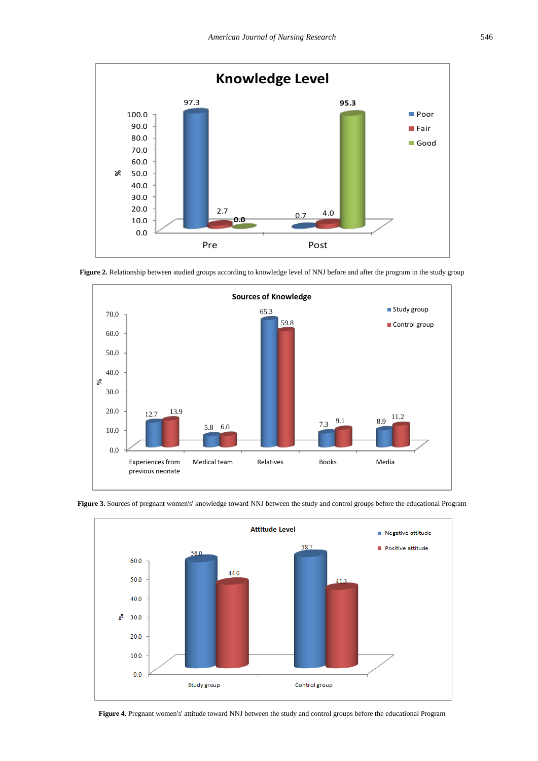<span id="page-4-0"></span>

<span id="page-4-1"></span>**Figure 2.** Relationship between studied groups according to knowledge level of NNJ before and after the program in the study group





<span id="page-4-2"></span>**Figure 3.** Sources of pregnant women's' knowledge toward NNJ between the study and control groups before the educational Program

**Figure 4.** Pregnant women's' attitude toward NNJ between the study and control groups before the educational Program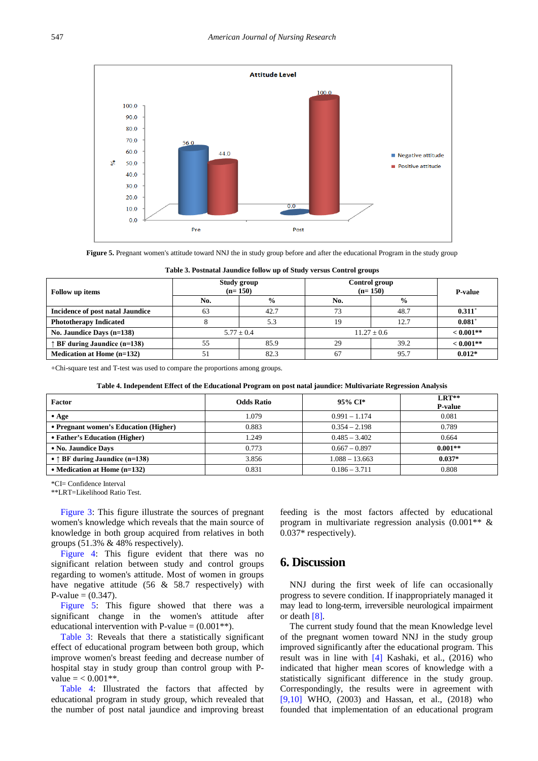<span id="page-5-0"></span>

**Figure 5.** Pregnant women's attitude toward NNJ the in study group before and after the educational Program in the study group

| Table 3. Postnatal Jaundice follow up of Study versus Control groups |  |  |  |  |  |  |  |
|----------------------------------------------------------------------|--|--|--|--|--|--|--|
|----------------------------------------------------------------------|--|--|--|--|--|--|--|

<span id="page-5-1"></span>

| Follow up items                       | Study group<br>$(n=150)$ |               | Control group<br>$(n=150)$ |                 | <b>P-value</b>       |
|---------------------------------------|--------------------------|---------------|----------------------------|-----------------|----------------------|
|                                       | No.                      | $\frac{6}{9}$ | No.                        | $\frac{6}{9}$   |                      |
| Incidence of post natal Jaundice      | 63                       | 42.7          | 73                         | 48.7            | $0.311$ <sup>+</sup> |
| <b>Phototherapy Indicated</b>         |                          | 5.3           | 19                         | 12.7            | $0.081$ <sup>+</sup> |
| No. Jaundice Days $(n=138)$           |                          | $5.77 + 0.4$  |                            | $11.27 \pm 0.6$ | $< 0.001**$          |
| $\uparrow$ BF during Jaundice (n=138) | 55                       | 85.9          | 29                         | 39.2            | $< 0.001**$          |
| Medication at Home $(n=132)$          | 51                       | 82.3          | 67                         | 95.7            | $0.012*$             |

+Chi-square test and T-test was used to compare the proportions among groups.

|  | Table 4. Independent Effect of the Educational Program on post natal jaundice: Multivariate Regression Analysis |  |  |  |  |
|--|-----------------------------------------------------------------------------------------------------------------|--|--|--|--|
|--|-----------------------------------------------------------------------------------------------------------------|--|--|--|--|

<span id="page-5-2"></span>

| Factor                                  | <b>Odds Ratio</b> | 95% CI*          | $LRT**$<br><b>P-value</b> |
|-----------------------------------------|-------------------|------------------|---------------------------|
| $•$ Age                                 | 1.079             | $0.991 - 1.174$  | 0.081                     |
| • Pregnant women's Education (Higher)   | 0.883             | $0.354 - 2.198$  | 0.789                     |
| • Father's Education (Higher)           | 1.249             | $0.485 - 3.402$  | 0.664                     |
| • No. Jaundice Days                     | 0.773             | $0.667 - 0.897$  | $0.001**$                 |
| • $\uparrow$ BF during Jaundice (n=138) | 3.856             | $1.088 - 13.663$ | $0.037*$                  |
| • Medication at Home $(n=132)$          | 0.831             | $0.186 - 3.711$  | 0.808                     |

\*CI= Confidence Interval

\*\*LRT=Likelihood Ratio Test.

[Figure 3:](#page-4-1) This figure illustrate the sources of pregnant women's knowledge which reveals that the main source of knowledge in both group acquired from relatives in both groups (51.3% & 48% respectively).

[Figure 4:](#page-4-2) This figure evident that there was no significant relation between study and control groups regarding to women's attitude. Most of women in groups have negative attitude (56 & 58.7 respectively) with P-value =  $(0.347)$ .

[Figure 5:](#page-5-0) This figure showed that there was a significant change in the women's attitude after educational intervention with P-value  $= (0.001**)$ .

[Table 3:](#page-5-1) Reveals that there a statistically significant effect of educational program between both group, which improve women's breast feeding and decrease number of hospital stay in study group than control group with Pvalue  $=$  < 0.001\*\*.

[Table 4:](#page-5-2) Illustrated the factors that affected by educational program in study group, which revealed that the number of post natal jaundice and improving breast feeding is the most factors affected by educational program in multivariate regression analysis (0.001\*\* & 0.037\* respectively).

## **6. Discussion**

NNJ during the first week of life can occasionally progress to severe condition. If inappropriately managed it may lead to long-term, irreversible neurological impairment or death [\[8\].](#page-7-5)

The current study found that the mean Knowledge level of the pregnant women toward NNJ in the study group improved significantly after the educational program. This result was in line with [\[4\]](#page-7-1) Kashaki, et al., (2016) who indicated that higher mean scores of knowledge with a statistically significant difference in the study group. Correspondingly, the results were in agreement with [\[9,10\]](#page-7-6) WHO, (2003) and Hassan, et al., (2018) who founded that implementation of an educational program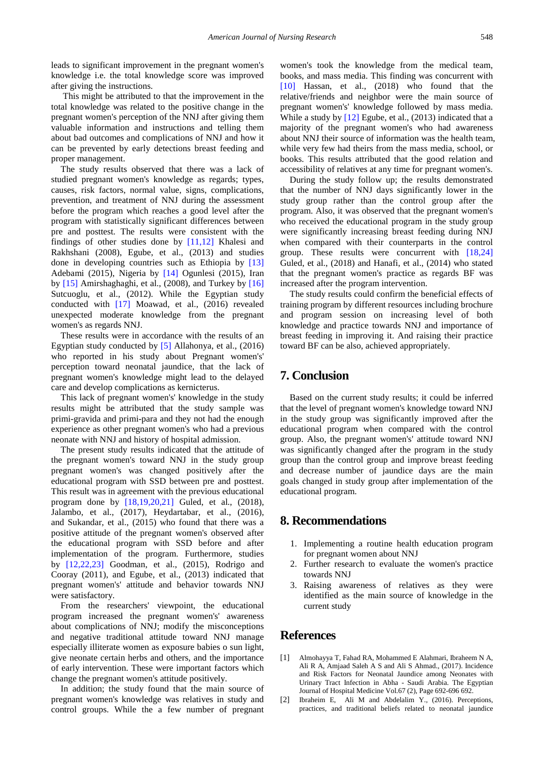leads to significant improvement in the pregnant women's knowledge i.e. the total knowledge score was improved after giving the instructions.

This might be attributed to that the improvement in the total knowledge was related to the positive change in the pregnant women's perception of the NNJ after giving them valuable information and instructions and telling them about bad outcomes and complications of NNJ and how it can be prevented by early detections breast feeding and proper management.

The study results observed that there was a lack of studied pregnant women's knowledge as regards; types, causes, risk factors, normal value, signs, complications, prevention, and treatment of NNJ during the assessment before the program which reaches a good level after the program with statistically significant differences between pre and posttest. The results were consistent with the findings of other studies done by [\[11,12\]](#page-7-7) Khalesi and Rakhshani (2008), Egube, et al., (2013) and studies done in developing countries such as Ethiopia by [\[13\]](#page-7-8) Adebami (2015), Nigeria by [\[14\]](#page-7-9) Ogunlesi (2015), Iran by [\[15\]](#page-7-10) Amirshaghaghi, et al., (2008), and Turkey by [\[16\]](#page-7-11) Sutcuoglu, et al., (2012). While the Egyptian study conducted with [\[17\]](#page-7-12) Moawad, et al., (2016) revealed unexpected moderate knowledge from the pregnant women's as regards NNJ.

These results were in accordance with the results of an Egyptian study conducted by [\[5\]](#page-7-2) Allahonya, et al., (2016) who reported in his study about Pregnant women's' perception toward neonatal jaundice, that the lack of pregnant women's knowledge might lead to the delayed care and develop complications as kernicterus.

This lack of pregnant women's' knowledge in the study results might be attributed that the study sample was primi-gravida and primi-para and they not had the enough experience as other pregnant women's who had a previous neonate with NNJ and history of hospital admission.

The present study results indicated that the attitude of the pregnant women's toward NNJ in the study group pregnant women's was changed positively after the educational program with SSD between pre and posttest. This result was in agreement with the previous educational program done by [\[18,19,20,21\]](#page-7-13) Guled, et al., (2018), Jalambo, et al., (2017), Heydartabar, et al., (2016), and Sukandar, et al., (2015) who found that there was a positive attitude of the pregnant women's observed after the educational program with SSD before and after implementation of the program. Furthermore, studies by [\[12,22,23\]](#page-7-14) Goodman, et al., (2015), Rodrigo and Cooray (2011), and Egube, et al., (2013) indicated that pregnant women's' attitude and behavior towards NNJ were satisfactory.

From the researchers' viewpoint, the educational program increased the pregnant women's' awareness about complications of NNJ; modify the misconceptions and negative traditional attitude toward NNJ manage especially illiterate women as exposure babies o sun light, give neonate certain herbs and others, and the importance of early intervention. These were important factors which change the pregnant women's attitude positively.

In addition; the study found that the main source of pregnant women's knowledge was relatives in study and control groups. While the a few number of pregnant women's took the knowledge from the medical team, books, and mass media. This finding was concurrent with [\[10\]](#page-7-15) Hassan, et al., (2018) who found that the relative/friends and neighbor were the main source of pregnant women's' knowledge followed by mass media. While a study by [\[12\]](#page-7-14) Egube, et al., (2013) indicated that a majority of the pregnant women's who had awareness about NNJ their source of information was the health team, while very few had theirs from the mass media, school, or books. This results attributed that the good relation and accessibility of relatives at any time for pregnant women's.

During the study follow up; the results demonstrated that the number of NNJ days significantly lower in the study group rather than the control group after the program. Also, it was observed that the pregnant women's who received the educational program in the study group were significantly increasing breast feeding during NNJ when compared with their counterparts in the control group. These results were concurrent with [\[18,24\]](#page-7-13) Guled, et al., (2018) and Hanafi, et al., (2014) who stated that the pregnant women's practice as regards BF was increased after the program intervention.

The study results could confirm the beneficial effects of training program by different resources including brochure and program session on increasing level of both knowledge and practice towards NNJ and importance of breast feeding in improving it. And raising their practice toward BF can be also, achieved appropriately.

# **7. Conclusion**

Based on the current study results; it could be inferred that the level of pregnant women's knowledge toward NNJ in the study group was significantly improved after the educational program when compared with the control group. Also, the pregnant women's' attitude toward NNJ was significantly changed after the program in the study group than the control group and improve breast feeding and decrease number of jaundice days are the main goals changed in study group after implementation of the educational program.

## **8. Recommendations**

- 1. Implementing a routine health education program for pregnant women about NNJ
- 2. Further research to evaluate the women's practice towards NNJ
- 3. Raising awareness of relatives as they were identified as the main source of knowledge in the current study

# **References**

- <span id="page-6-0"></span>[1] Almohayya T, Fahad RA, Mohammed E Alahmari, Ibraheem N A, Ali R A, Amjaad Saleh A S and Ali S Ahmad., (2017). Incidence and Risk Factors for Neonatal Jaundice among Neonates with Urinary Tract Infection in Abha - Saudi Arabia. The Egyptian Journal of Hospital Medicine Vol.67 (2), Page 692-696 692.
- <span id="page-6-1"></span>[2] Ibraheim E, Ali M and Abdelalim Y., (2016). Perceptions, practices, and traditional beliefs related to neonatal jaundice